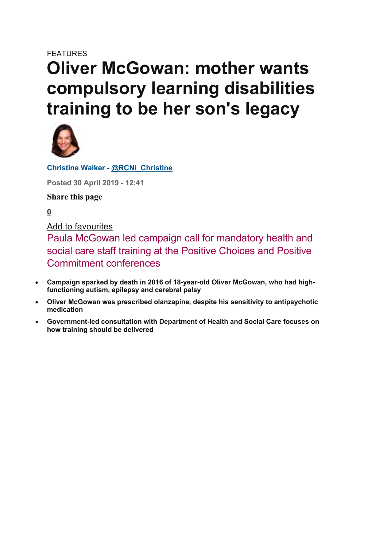# FEATURES **Oliver McGowan: mother wants compulsory learning disabilities training to be her son's legacy**



**Christine Walker - @RCNi\_Christine**

**Posted 30 April 2019 - 12:41**

**Share this page**

**0**

Add to favourites

Paula McGowan led campaign call for mandatory health and social care staff training at the Positive Choices and Positive Commitment conferences

- **Campaign sparked by death in 2016 of 18-year-old Oliver McGowan, who had highfunctioning autism, epilepsy and cerebral palsy**
- **Oliver McGowan was prescribed olanzapine, despite his sensitivity to antipsychotic medication**
- **Government-led consultation with Department of Health and Social Care focuses on how training should be delivered**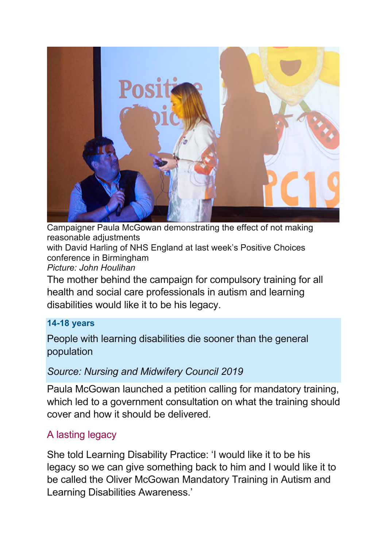

Campaigner Paula McGowan demonstrating the effect of not making reasonable adjustments

with David Harling of NHS England at last week's Positive Choices conference in Birmingham

*Picture: John Houlihan*

The mother behind the campaign for compulsory training for all health and social care professionals in autism and learning disabilities would like it to be his legacy.

#### **14-18 years**

People with learning disabilities die sooner than the general population

## *Source: Nursing and Midwifery Council 2019*

Paula McGowan launched a petition calling for mandatory training, which led to a government consultation on what the training should cover and how it should be delivered.

# A lasting legacy

She told Learning Disability Practice: 'I would like it to be his legacy so we can give something back to him and I would like it to be called the Oliver McGowan Mandatory Training in Autism and Learning Disabilities Awareness.'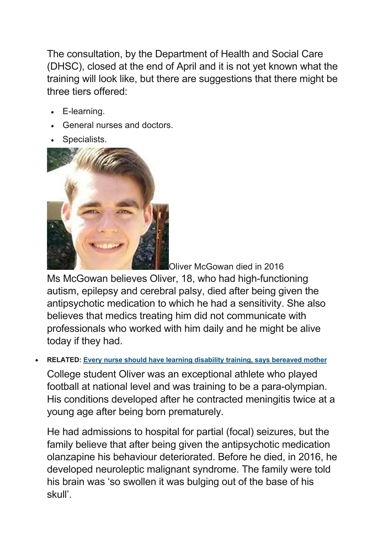The consultation, by the Department of Health and Social Care (DHSC), closed at the end of April and it is not yet known what the training will look like, but there are suggestions that there might be three tiers offered:

- E-learning.
- General nurses and doctors.
- Specialists.



Oliver McGowan died in 2016

Ms McGowan believes Oliver, 18, who had high-functioning autism, epilepsy and cerebral palsy, died after being given the antipsychotic medication to which he had a sensitivity. She also believes that medics treating him did not communicate with professionals who worked with him daily and he might be alive today if they had.

• **RELATED: Every nurse should have learning disability training, says bereaved mother**

College student Oliver was an exceptional athlete who played football at national level and was training to be a para-olympian. His conditions developed after he contracted meningitis twice at a young age after being born prematurely.

He had admissions to hospital for partial (focal) seizures, but the family believe that after being given the antipsychotic medication olanzapine his behaviour deteriorated. Before he died, in 2016, he developed neuroleptic malignant syndrome. The family were told his brain was 'so swollen it was bulging out of the base of his skull'.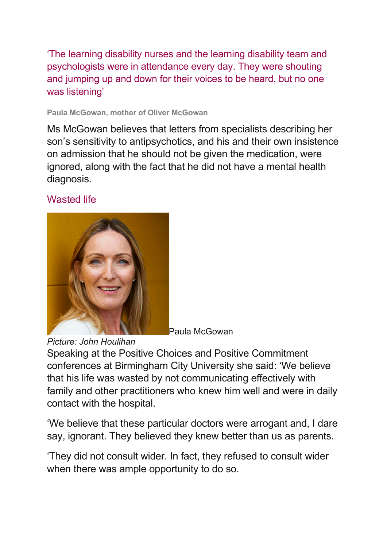'The learning disability nurses and the learning disability team and psychologists were in attendance every day. They were shouting and jumping up and down for their voices to be heard, but no one was listening'

#### **Paula McGowan, mother of Oliver McGowan**

Ms McGowan believes that letters from specialists describing her son's sensitivity to antipsychotics, and his and their own insistence on admission that he should not be given the medication, were ignored, along with the fact that he did not have a mental health diagnosis.

#### Wasted life



Paula McGowan

*Picture: John Houlihan*

Speaking at the Positive Choices and Positive Commitment conferences at Birmingham City University she said: 'We believe that his life was wasted by not communicating effectively with family and other practitioners who knew him well and were in daily contact with the hospital.

'We believe that these particular doctors were arrogant and, I dare say, ignorant. They believed they knew better than us as parents.

'They did not consult wider. In fact, they refused to consult wider when there was ample opportunity to do so.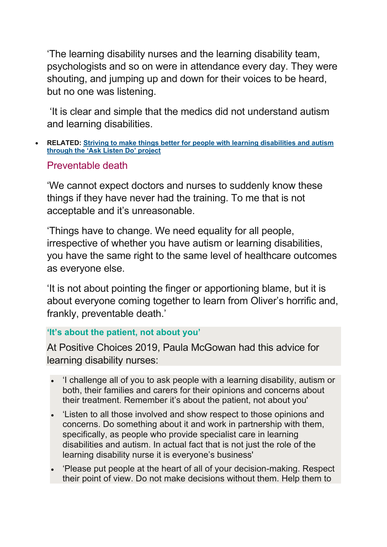'The learning disability nurses and the learning disability team, psychologists and so on were in attendance every day. They were shouting, and jumping up and down for their voices to be heard, but no one was listening.

'It is clear and simple that the medics did not understand autism and learning disabilities.

• **RELATED: Striving to make things better for people with learning disabilities and autism through the 'Ask Listen Do' project**

#### Preventable death

'We cannot expect doctors and nurses to suddenly know these things if they have never had the training. To me that is not acceptable and it's unreasonable.

'Things have to change. We need equality for all people, irrespective of whether you have autism or learning disabilities, you have the same right to the same level of healthcare outcomes as everyone else.

'It is not about pointing the finger or apportioning blame, but it is about everyone coming together to learn from Oliver's horrific and, frankly, preventable death.'

#### **'It's about the patient, not about you'**

At Positive Choices 2019, Paula McGowan had this advice for learning disability nurses:

- 'I challenge all of you to ask people with a learning disability, autism or both, their families and carers for their opinions and concerns about their treatment. Remember it's about the patient, not about you'
- 'Listen to all those involved and show respect to those opinions and concerns. Do something about it and work in partnership with them, specifically, as people who provide specialist care in learning disabilities and autism. In actual fact that is not just the role of the learning disability nurse it is everyone's business'
- 'Please put people at the heart of all of your decision-making. Respect their point of view. Do not make decisions without them. Help them to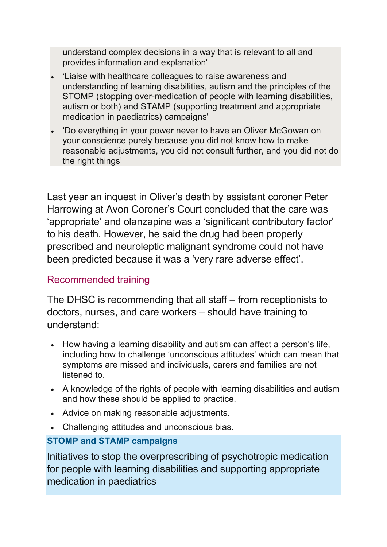understand complex decisions in a way that is relevant to all and provides information and explanation'

- 'Liaise with healthcare colleagues to raise awareness and understanding of learning disabilities, autism and the principles of the STOMP (stopping over-medication of people with learning disabilities, autism or both) and STAMP (supporting treatment and appropriate medication in paediatrics) campaigns'
- 'Do everything in your power never to have an Oliver McGowan on your conscience purely because you did not know how to make reasonable adjustments, you did not consult further, and you did not do the right things'

Last year an inquest in Oliver's death by assistant coroner Peter Harrowing at Avon Coroner's Court concluded that the care was 'appropriate' and olanzapine was a 'significant contributory factor' to his death. However, he said the drug had been properly prescribed and neuroleptic malignant syndrome could not have been predicted because it was a 'very rare adverse effect'.

## Recommended training

The DHSC is recommending that all staff – from receptionists to doctors, nurses, and care workers – should have training to understand:

- How having a learning disability and autism can affect a person's life, including how to challenge 'unconscious attitudes' which can mean that symptoms are missed and individuals, carers and families are not listened to.
- A knowledge of the rights of people with learning disabilities and autism and how these should be applied to practice.
- Advice on making reasonable adjustments.
- Challenging attitudes and unconscious bias.

## **STOMP and STAMP campaigns**

Initiatives to stop the overprescribing of psychotropic medication for people with learning disabilities and supporting appropriate medication in paediatrics